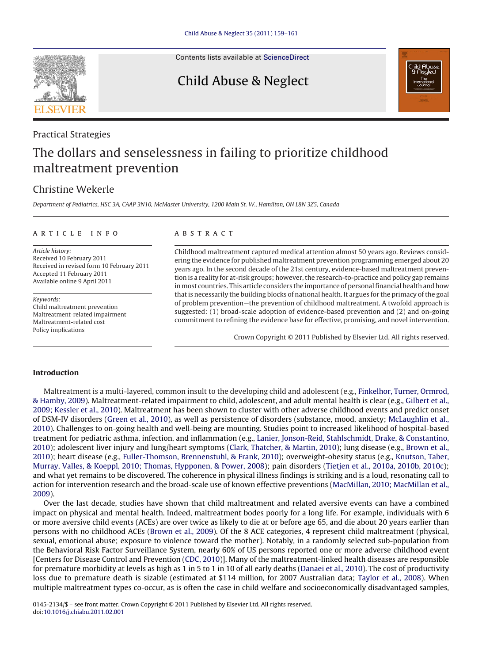

Contents lists available at [ScienceDirect](http://www.sciencedirect.com/science/journal/01452134)

Child Abuse & Neglect



## Practical Strategies The dollars and senselessness in failing to prioritize childhood maltreatment prevention

### Christine Wekerle

Department of Pediatrics, HSC 3A, CAAP 3N10, McMaster University, 1200 Main St. W., Hamilton, ON L8N 3Z5, Canada

#### article info

Article history: Received 10 February 2011 Received in revised form 10 February 2011 Accepted 11 February 2011 Available online 9 April 2011

Keywords: Child maltreatment prevention Maltreatment-related impairment Maltreatment-related cost Policy implications

#### ABSTRACT

Childhood maltreatment captured medical attention almost 50 years ago. Reviews considering the evidence for published maltreatment prevention programming emerged about 20 years ago. In the second decade of the 21st century, evidence-based maltreatment prevention is a reality for at-risk groups; however, the research-to-practice and policy gap remains inmost countries. This article considers the importance of personal financial health and how that is necessarily the building blocks of national health. It argues for the primacy of the goal of problem prevention—the prevention of childhood maltreatment. A twofold approach is suggested: (1) broad-scale adoption of evidence-based prevention and (2) and on-going commitment to refining the evidence base for effective, promising, and novel intervention.

Crown Copyright © 2011 Published by Elsevier Ltd. All rights reserved.

#### **Introduction**

Maltreatment is a multi-layered, common insult to the developing child and adolescent (e.g., [Finkelhor, Turner, Ormrod,](#page-1-0) [& Hamby, 2009\).](#page-1-0) Maltreatment-related impairment to child, adolescent, and adult mental health is clear (e.g., [Gilbert et al.,](#page-1-0) [2009; Kessler et al., 2010\).](#page-1-0) Maltreatment has been shown to cluster with other adverse childhood events and predict onset of DSM-IV disorders [\(Green et al., 2010\),](#page-1-0) as well as persistence of disorders (substance, mood, anxiety; [McLaughlin et al.,](#page--1-0) [2010\).](#page--1-0) Challenges to on-going health and well-being are mounting. Studies point to increased likelihood of hospital-based treatment for pediatric asthma, infection, and inflammation (e.g., [Lanier, Jonson-Reid, Stahlschmidt, Drake, & Constantino,](#page--1-0) [2010\);](#page--1-0) adolescent liver injury and lung/heart symptoms [\(Clark, Thatcher, & Martin, 2010\);](#page-1-0) lung disease (e.g., [Brown et al.,](#page-1-0) [2010\);](#page-1-0) heart disease (e.g., [Fuller-Thomson, Brennenstuhl, & Frank, 2010\);](#page-1-0) overweight-obesity status (e.g., [Knutson, Taber,](#page-1-0) [Murray, Valles, & Koeppl, 2010; Thomas, Hypponen, & Power, 2008\);](#page-1-0) pain disorders [\(Tietjen et al., 2010a, 2010b, 2010c\);](#page--1-0) and what yet remains to be discovered. The coherence in physical illness findings is striking and is a loud, resonating call to action for intervention research and the broad-scale use of known effective preventions ([MacMillan, 2010; MacMillan et al.,](#page--1-0) [2009\).](#page--1-0)

Over the last decade, studies have shown that child maltreatment and related aversive events can have a combined impact on physical and mental health. Indeed, maltreatment bodes poorly for a long life. For example, individuals with 6 or more aversive child events (ACEs) are over twice as likely to die at or before age 65, and die about 20 years earlier than persons with no childhood ACEs [\(Brown et al., 2009\).](#page-1-0) Of the 8 ACE categories, 4 represent child maltreatment (physical, sexual, emotional abuse; exposure to violence toward the mother). Notably, in a randomly selected sub-population from the Behavioral Risk Factor Surveillance System, nearly 60% of US persons reported one or more adverse childhood event [Centers for Disease Control and Prevention [\(CDC, 2010\)\]](#page-1-0). Many of the maltreatment-linked health diseases are responsible for premature morbidity at levels as high as 1 in 5 to 1 in 10 of all early deaths ([Danaei et al., 2010\).](#page-1-0) The cost of productivity loss due to premature death is sizable (estimated at \$114 million, for 2007 Australian data; [Taylor et al., 2008\).](#page--1-0) When multiple maltreatment types co-occur, as is often the case in child welfare and socioeconomically disadvantaged samples,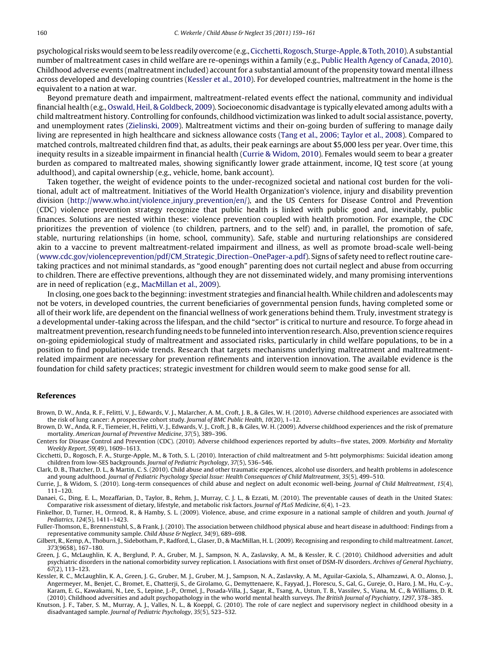<span id="page-1-0"></span>psychological risks would seem to be less readily overcome (e.g.,Cicchetti, Rogosch, Sturge-Apple, & Toth, 2010). A substantial number of maltreatment cases in child welfare are re-openings within a family (e.g., [Public Health Agency of Canada, 2010\).](#page--1-0) Childhood adverse events (maltreatment included) account for a substantial amount of the propensity toward mental illness across developed and developing countries (Kessler et al., 2010). For developed countries, maltreatment in the home is the equivalent to a nation at war.

Beyond premature death and impairment, maltreatment-related events effect the national, community and individual financial health (e.g., [Oswald, Heil, & Goldbeck, 2009\).](#page--1-0) Socioeconomic disadvantage is typically elevated among adults with a child maltreatment history. Controlling for confounds, childhood victimization was linked to adult social assistance, poverty, and unemployment rates [\(Zielinski, 2009\).](#page--1-0) Maltreatment victims and their on-going burden of suffering to manage daily living are represented in high healthcare and sickness allowance costs [\(Tang et al., 2006; Taylor et al., 2008\).](#page--1-0) Compared to matched controls, maltreated children find that, as adults, their peak earnings are about \$5,000 less per year. Over time, this inequity results in a sizeable impairment in financial health (Currie & Widom, 2010). Females would seem to bear a greater burden as compared to maltreated males, showing significantly lower grade attainment, income, IQ test score (at young adulthood), and capital ownership (e.g., vehicle, home, bank account).

Taken together, the weight of evidence points to the under-recognized societal and national cost burden for the volitional, adult act of maltreatment. Initiatives of the World Health Organization's violence, injury and disability prevention division ([http://www.who.int/violence](http://www.who.int/violence_injury_prevention/en/) injury prevention/en/), and the US Centers for Disease Control and Prevention (CDC) violence prevention strategy recognize that public health is linked with public good and, inevitably, public finances. Solutions are nested within these: violence prevention coupled with health promotion. For example, the CDC prioritizes the prevention of violence (to children, partners, and to the self) and, in parallel, the promotion of safe, stable, nurturing relationships (in home, school, community). Safe, stable and nurturing relationships are considered akin to a vaccine to prevent maltreatment-related impairment and illness, as well as promote broad-scale well-being [\(www.cdc.gov/violenceprevention/pdf/CM](http://www.cdc.gov/violenceprevention/pdf/CM_Strategic_Direction--OnePager-a.pdf) Strategic Direction–OnePager-a.pdf). Signs of safety need to reflect routine caretaking practices and not minimal standards, as "good enough" parenting does not curtail neglect and abuse from occurring to children. There are effective preventions, although they are not disseminated widely, and many promising interventions are in need of replication (e.g., [MacMillan et al., 2009\).](#page--1-0)

In closing, one goes back to the beginning: investment strategies and financial health.While children and adolescents may not be voters, in developed countries, the current beneficiaries of governmental pension funds, having completed some or all of their work life, are dependent on the financial wellness of work generations behind them. Truly, investment strategy is a developmental under-taking across the lifespan, and the child "sector" is critical to nurture and resource. To forge ahead in maltreatment prevention, research funding needs to be funneled into intervention research. Also, prevention science requires on-going epidemiological study of maltreatment and associated risks, particularly in child welfare populations, to be in a position to find population-wide trends. Research that targets mechanisms underlying maltreatment and maltreatmentrelated impairment are necessary for prevention refinements and intervention innovation. The available evidence is the foundation for child safety practices; strategic investment for children would seem to make good sense for all.

#### **References**

- Brown, D. W., Anda, R. F., Felitti, V. J., Edwards, V. J., Malarcher, A. M., Croft, J. B., & Giles, W. H. (2010). Adverse childhood experiences are associated with the risk of lung cancer: A prospective cohort study. Journal of BMC Public Health, 10(20), 1–12.
- Brown, D. W., Anda, R. F., Tiemeier, H., Felitti, V. J., Edwards, V. J., Croft, J. B., & Giles, W. H. (2009). Adverse childhood experiences and the risk of premature mortality. American Journal of Preventive Medicine, 37(5), 389–396.
- Centers for Disease Control and Prevention (CDC). (2010). Adverse childhood experiences reported by adults—five states, 2009. Morbidity and Mortality Weekly Report, 59(49), 1609–1613.
- Cicchetti, D., Rogosch, F. A., Sturge-Apple, M., & Toth, S. L. (2010). Interaction of child maltreatment and 5-htt polymorphisms: Suicidal ideation among children from low-SES backgrounds. Journal of Pediatric Psychology, 37(5), 536–546.
- Clark, D. B., Thatcher, D. L., & Martin, C. S. (2010). Child abuse and other traumatic experiences, alcohol use disorders, and health problems in adolescence and young adulthood. Journal of Pediatric Psychology Special Issue: Health Consequences of Child Maltreatment, 35(5), 499–510.
- Currie, J., & Widom, S. (2010). Long-term consequences of child abuse and neglect on adult economic well-being. Journal of Child Maltreatment, 15(4), 111–120.

Danaei, G., Ding, E. L., Mozaffarian, D., Taylor, B., Rehm, J., Murray, C. J. L., & Ezzati, M. (2010). The preventable causes of death in the United States: Comparative risk assessment of dietary, lifestyle, and metabolic risk factors. Journal of PLoS Medicine, 6(4), 1–23.

Finkelhor, D, Turner, H., Ormrod, R., & Hamby, S. L. (2009). Violence, abuse, and crime exposure in a national sample of children and youth. Journal of Pediatrics, 124(5), 1411–1423.

Fuller-Thomson, E., Brennenstuhl, S., & Frank, J. (2010). The association between childhood physical abuse and heart disease in adulthood: Findings from a representative community sample. Child Abuse & Neglect, 34(9), 689-698

- Gilbert, R., Kemp, A., Thoburn, J., Sidebotham, P., Radford, L., Glaser, D., & MacMillan, H. L. (2009). Recognising and responding to child maltreatment. Lancet, 373(9658), 167–180.
- Green, J. G., McLaughlin, K. A., Berglund, P. A., Gruber, M. J., Sampson, N. A., Zaslavsky, A. M., & Kessler, R. C. (2010). Childhood adversities and adult psychiatric disorders in the national comorbidity survey replication. I. Associations with first onset of DSM-IV disorders. Archives of General Psychiatry, 67(2), 113–123.
- ,Kessler, R. C., McLaughlin, K. A., Green, J. G., Gruber, M. J., Gruber, M. J., Sampson, N. A., Zaslavsky, A. M., Aguilar-Gaxiola, S., Alhamzawi, A. O., Alonso, J.<br>Angermeyer, M., Benjet, C., Bromet, E., Chatterji, S., de Karam, E. G., Kawakami, N., Lee, S., Lepine, J.-P., Ormel, J., Posada-Villa, J., Sagar, R., Tsang, A., Ustun, T. B., Vassilev, S., Viana, M. C., & Williams, D. R. (2010). Childhood adversities and adult psychopathology in the who world mental health surveys. The British Journal of Psychiatry, 1297, 378–385.
- Knutson, J. F., Taber, S. M., Murray, A. J., Valles, N. L., & Koeppl, G. (2010). The role of care neglect and supervisory neglect in childhood obesity in a disadvantaged sample. Journal of Pediatric Psychology, 35(5), 523–532.